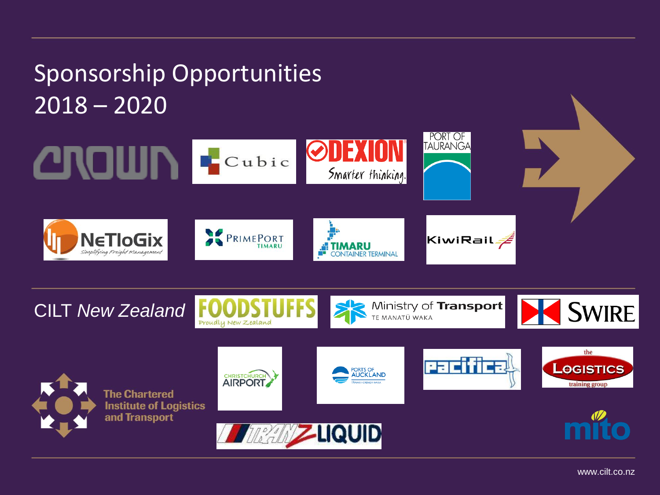## Sponsorship Opportunities 2018 – 2020





www.cilt.co.nz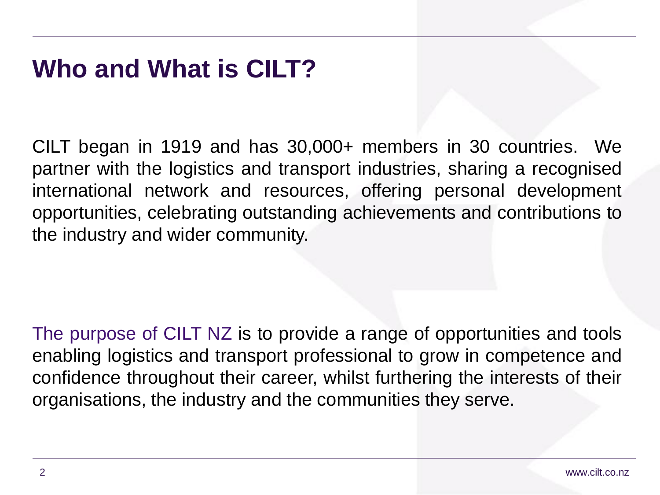#### **Who and What is CILT?**

CILT began in 1919 and has 30,000+ members in 30 countries. We partner with the logistics and transport industries, sharing a recognised international network and resources, offering personal development opportunities, celebrating outstanding achievements and contributions to the industry and wider community.

The purpose of CILT NZ is to provide a range of opportunities and tools enabling logistics and transport professional to grow in competence and confidence throughout their career, whilst furthering the interests of their organisations, the industry and the communities they serve.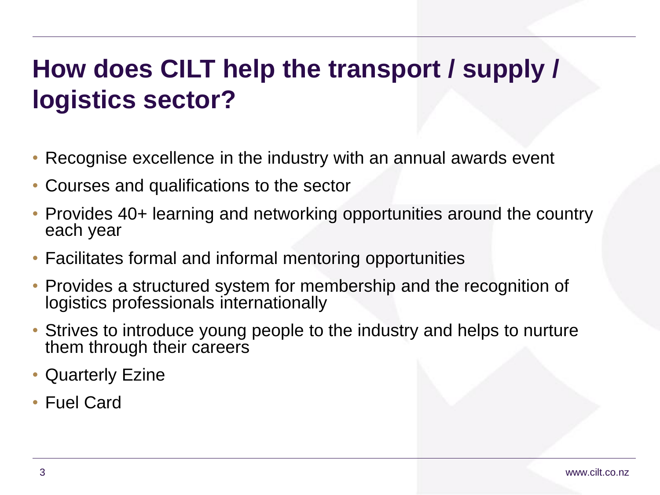# **How does CILT help the transport / supply / logistics sector?**

- Recognise excellence in the industry with an annual awards event
- Courses and qualifications to the sector
- Provides 40+ learning and networking opportunities around the country each year
- Facilitates formal and informal mentoring opportunities
- Provides a structured system for membership and the recognition of logistics professionals internationally
- Strives to introduce young people to the industry and helps to nurture them through their careers
- Quarterly Ezine
- Fuel Card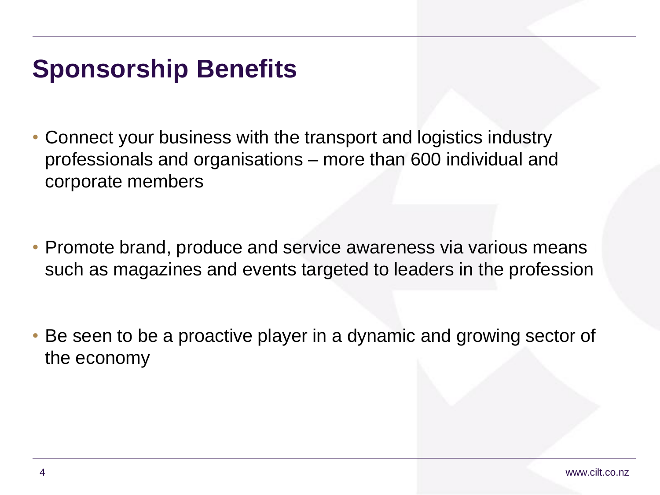#### **Sponsorship Benefits**

- Connect your business with the transport and logistics industry professionals and organisations – more than 600 individual and corporate members
- Promote brand, produce and service awareness via various means such as magazines and events targeted to leaders in the profession
- Be seen to be a proactive player in a dynamic and growing sector of the economy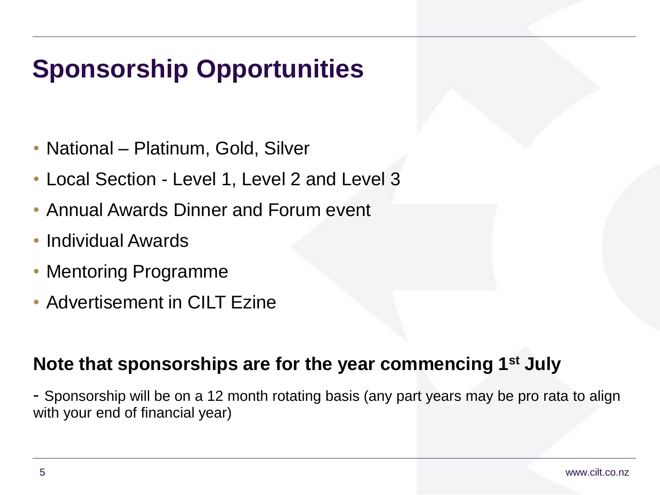# **Sponsorship Opportunities**

- National Platinum, Gold, Silver
- Local Section Level 1, Level 2 and Level 3
- Annual Awards Dinner and Forum event
- Individual Awards
- Mentoring Programme
- Advertisement in CILT Ezine

#### **Note that sponsorships are for the year commencing 1st July**

- Sponsorship will be on a 12 month rotating basis (any part years may be pro rata to align with your end of financial year)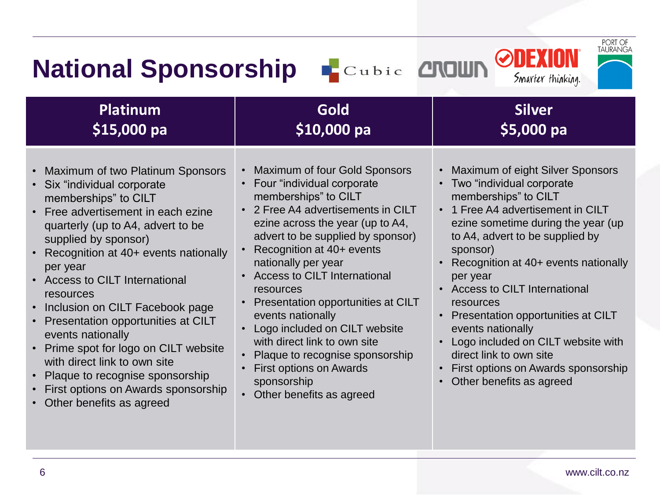| PORT OF<br>TAURANGA<br><b>ODE</b><br>Cubic <b>CROWN</b><br><b>National Sponsorship</b><br>Smarter thinking.                                                                                                                                                                                                                                                                                                                                                                                                                                                                                                 |                                                                                                                                                                                                                                                                                                                                                                                                                                                                                                                                                    |                                                                                                                                                                                                                                                                                                                                                                                                                                                                                                                                                   |  |  |
|-------------------------------------------------------------------------------------------------------------------------------------------------------------------------------------------------------------------------------------------------------------------------------------------------------------------------------------------------------------------------------------------------------------------------------------------------------------------------------------------------------------------------------------------------------------------------------------------------------------|----------------------------------------------------------------------------------------------------------------------------------------------------------------------------------------------------------------------------------------------------------------------------------------------------------------------------------------------------------------------------------------------------------------------------------------------------------------------------------------------------------------------------------------------------|---------------------------------------------------------------------------------------------------------------------------------------------------------------------------------------------------------------------------------------------------------------------------------------------------------------------------------------------------------------------------------------------------------------------------------------------------------------------------------------------------------------------------------------------------|--|--|
| <b>Platinum</b><br>\$15,000 pa                                                                                                                                                                                                                                                                                                                                                                                                                                                                                                                                                                              | <b>Gold</b><br>\$10,000 pa                                                                                                                                                                                                                                                                                                                                                                                                                                                                                                                         | <b>Silver</b><br>\$5,000 pa                                                                                                                                                                                                                                                                                                                                                                                                                                                                                                                       |  |  |
| Maximum of two Platinum Sponsors<br>$\bullet$<br>Six "individual corporate<br>memberships" to CILT<br>Free advertisement in each ezine<br>quarterly (up to A4, advert to be<br>supplied by sponsor)<br>Recognition at 40+ events nationally<br>$\bullet$<br>per year<br>• Access to CILT International<br>resources<br>Inclusion on CILT Facebook page<br>$\bullet$<br>Presentation opportunities at CILT<br>events nationally<br>Prime spot for logo on CILT website<br>with direct link to own site<br>Plaque to recognise sponsorship<br>First options on Awards sponsorship<br>Other benefits as agreed | Maximum of four Gold Sponsors<br>• Four "individual corporate<br>memberships" to CILT<br>• 2 Free A4 advertisements in CILT<br>ezine across the year (up to A4,<br>advert to be supplied by sponsor)<br>Recognition at 40+ events<br>nationally per year<br>• Access to CILT International<br>resources<br>• Presentation opportunities at CILT<br>events nationally<br>Logo included on CILT website<br>with direct link to own site<br>• Plaque to recognise sponsorship<br>First options on Awards<br>sponsorship<br>• Other benefits as agreed | Maximum of eight Silver Sponsors<br>$\bullet$<br>• Two "individual corporate<br>memberships" to CILT<br>• 1 Free A4 advertisement in CILT<br>ezine sometime during the year (up<br>to A4, advert to be supplied by<br>sponsor)<br>• Recognition at 40+ events nationally<br>per year<br>• Access to CILT International<br>resources<br>• Presentation opportunities at CILT<br>events nationally<br>Logo included on CILT website with<br>$\bullet$<br>direct link to own site<br>First options on Awards sponsorship<br>Other benefits as agreed |  |  |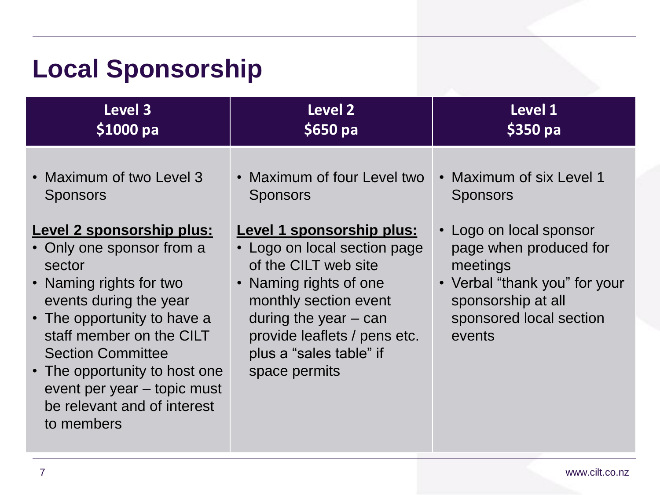# **Local Sponsorship**

| Level 3                                                                                                                                                                                                                                                                                                                                                                         | Level 2                                                                                                                                                                                                                                                                                                  | Level 1                                                                                                                                                                                                  |
|---------------------------------------------------------------------------------------------------------------------------------------------------------------------------------------------------------------------------------------------------------------------------------------------------------------------------------------------------------------------------------|----------------------------------------------------------------------------------------------------------------------------------------------------------------------------------------------------------------------------------------------------------------------------------------------------------|----------------------------------------------------------------------------------------------------------------------------------------------------------------------------------------------------------|
| $$1000$ pa                                                                                                                                                                                                                                                                                                                                                                      | $$650$ pa                                                                                                                                                                                                                                                                                                | $$350$ pa                                                                                                                                                                                                |
| • Maximum of two Level 3<br><b>Sponsors</b><br><b>Level 2 sponsorship plus:</b><br>• Only one sponsor from a<br>sector<br>• Naming rights for two<br>events during the year<br>• The opportunity to have a<br>staff member on the CILT<br><b>Section Committee</b><br>• The opportunity to host one<br>event per year – topic must<br>be relevant and of interest<br>to members | • Maximum of four Level two<br><b>Sponsors</b><br>Level 1 sponsorship plus:<br>• Logo on local section page<br>of the CILT web site<br>Naming rights of one<br>$\bullet$<br>monthly section event<br>during the year $-$ can<br>provide leaflets / pens etc.<br>plus a "sales table" if<br>space permits | • Maximum of six Level 1<br><b>Sponsors</b><br>• Logo on local sponsor<br>page when produced for<br>meetings<br>• Verbal "thank you" for your<br>sponsorship at all<br>sponsored local section<br>events |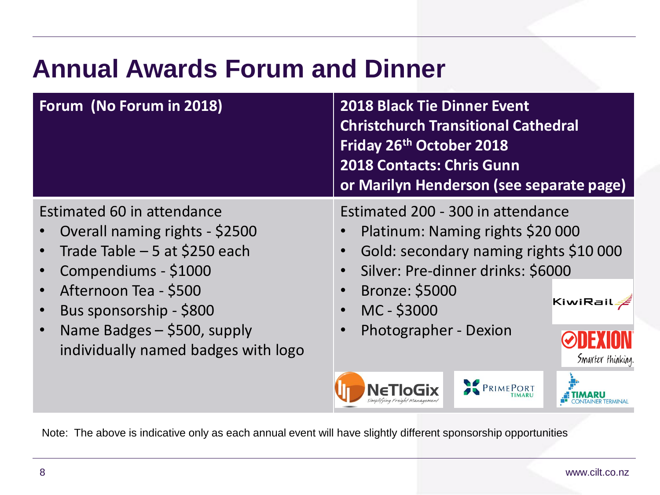# **Annual Awards Forum and Dinner**

| Forum (No Forum in 2018)                                                                                                                                                   | <b>2018 Black Tie Dinner Event</b><br><b>Christchurch Transitional Cathedral</b><br>Friday 26th October 2018<br><b>2018 Contacts: Chris Gunn</b><br>or Marilyn Henderson (see separate page)             |  |
|----------------------------------------------------------------------------------------------------------------------------------------------------------------------------|----------------------------------------------------------------------------------------------------------------------------------------------------------------------------------------------------------|--|
| Estimated 60 in attendance<br>Overall naming rights - \$2500<br>Trade Table $-5$ at \$250 each<br>Compendiums - \$1000<br>Afternoon Tea - \$500<br>Bus sponsorship - \$800 | Estimated 200 - 300 in attendance<br>Platinum: Naming rights \$20 000<br>Gold: secondary naming rights \$10 000<br>Silver: Pre-dinner drinks: \$6000<br><b>Bronze: \$5000</b><br>KiwiRail<br>MC - \$3000 |  |
| Name Badges $-$ \$500, supply<br>individually named badges with logo                                                                                                       | Photographer - Dexion<br>Smarter thinking.                                                                                                                                                               |  |

Note: The above is indicative only as each annual event will have slightly different sponsorship opportunities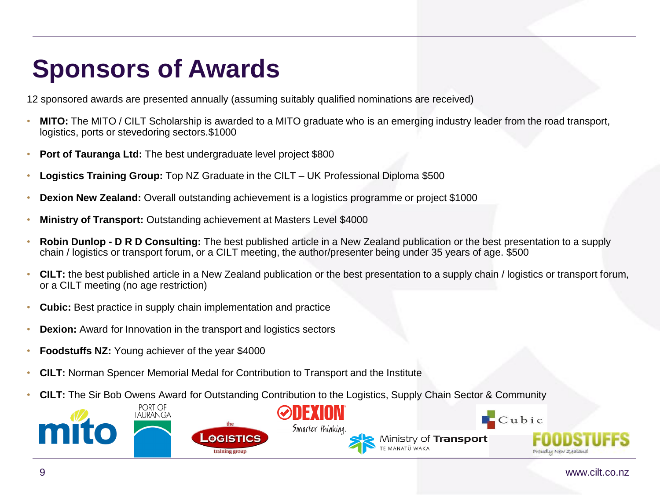# **Sponsors of Awards**

12 sponsored awards are presented annually (assuming suitably qualified nominations are received)

- **MITO:** The MITO / CILT Scholarship is awarded to a MITO graduate who is an emerging industry leader from the road transport, logistics, ports or stevedoring sectors.\$1000
- **Port of Tauranga Ltd:** The best undergraduate level project \$800
- **Logistics Training Group:** Top NZ Graduate in the CILT UK Professional Diploma \$500
- **Dexion New Zealand:** Overall outstanding achievement is a logistics programme or project \$1000
- **Ministry of Transport:** Outstanding achievement at Masters Level \$4000
- **Robin Dunlop - D R D Consulting:** The best published article in a New Zealand publication or the best presentation to a supply chain / logistics or transport forum, or a CILT meeting, the author/presenter being under 35 years of age. \$500
- **CILT:** the best published article in a New Zealand publication or the best presentation to a supply chain / logistics or transport forum, or a CILT meeting (no age restriction)
- **Cubic:** Best practice in supply chain implementation and practice
- **Dexion:** Award for Innovation in the transport and logistics sectors
- **Foodstuffs NZ:** Young achiever of the year \$4000
- **CILT:** Norman Spencer Memorial Medal for Contribution to Transport and the Institute
- **CILT:** The Sir Bob Owens Award for Outstanding Contribution to the Logistics, Supply Chain Sector & Community

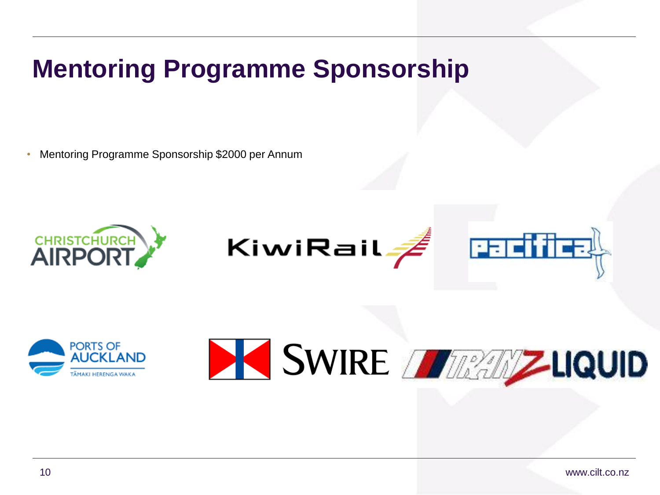## **Mentoring Programme Sponsorship**

• Mentoring Programme Sponsorship \$2000 per Annum





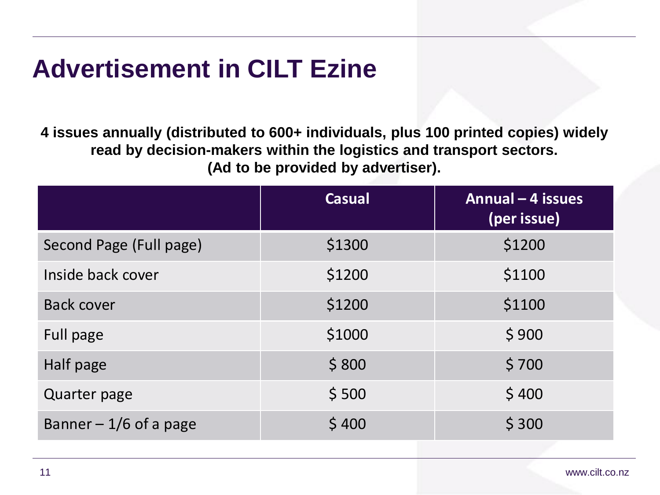### **Advertisement in CILT Ezine**

**4 issues annually (distributed to 600+ individuals, plus 100 printed copies) widely read by decision-makers within the logistics and transport sectors. (Ad to be provided by advertiser).**

| <b>Casual</b> | Annual - 4 issues<br>(per issue) |
|---------------|----------------------------------|
| \$1300        | \$1200                           |
| \$1200        | \$1100                           |
| \$1200        | \$1100                           |
| \$1000        | \$900                            |
| \$800         | \$700                            |
| \$500         | \$400                            |
| \$400         | \$300                            |
|               |                                  |